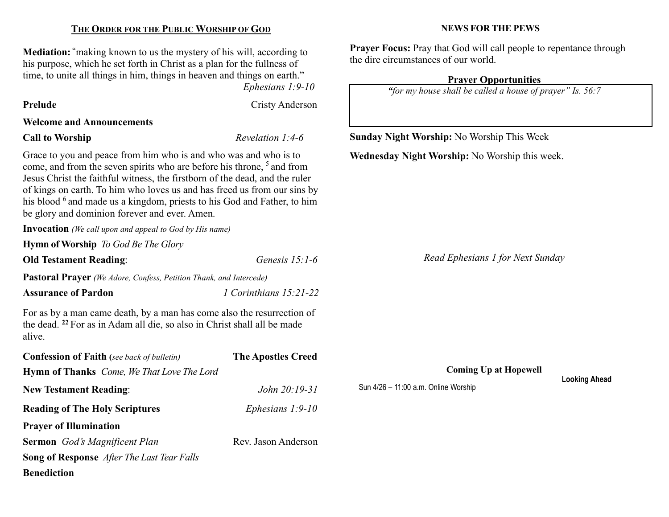#### THE ORDER FOR THE PUBLIC WORSHIP OF GOD

Mediation: "making known to us the mystery of his will, according to his purpose, which he set forth in Christ as a plan for the fullness of time, to unite all things in him, things in heaven and things on earth."

Ephesians 1:9-10

Prelude Cristy Anderson

# Welcome and Announcements

# Call to Worship Revelation 1:4-6

Grace to you and peace from him who is and who was and who is to come, and from the seven spirits who are before his throne, <sup>5</sup> and from Jesus Christ the faithful witness, the firstborn of the dead, and the ruler of kings on earth. To him who loves us and has freed us from our sins by his blood <sup>6</sup> and made us a kingdom, priests to his God and Father, to him be glory and dominion forever and ever. Amen.

Invocation (We call upon and appeal to God by His name)

Hymn of Worship To God Be The Glory

**Old Testament Reading:** Genesis 15:1-6

Pastoral Prayer (We Adore, Confess, Petition Thank, and Intercede)

Assurance of Pardon 1 Corinthians 15:21-22

For as by a man came death, by a man has come also the resurrection of the dead. <sup>22</sup>For as in Adam all die, so also in Christ shall all be made alive.

| <b>Confession of Faith</b> (see back of bulletin)        | <b>The Apostles Creed</b> |  |
|----------------------------------------------------------|---------------------------|--|
| <b>Hymn of Thanks</b> <i>Come, We That Love The Lord</i> |                           |  |
| <b>New Testament Reading:</b>                            | <i>John</i> $20:19-31$    |  |
| <b>Reading of The Holy Scriptures</b>                    | Ephesians $1:9-10$        |  |
| <b>Prayer of Illumination</b>                            |                           |  |
| <b>Sermon</b> God's Magnificent Plan                     | Rev. Jason Anderson       |  |
| <b>Song of Response</b> After The Last Tear Falls        |                           |  |
| <b>Benediction</b>                                       |                           |  |

#### NEWS FOR THE PEWS

Prayer Focus: Pray that God will call people to repentance through the dire circumstances of our world.

# Prayer Opportunities

"for my house shall be called a house of prayer" Is. 56:7

Sunday Night Worship: No Worship This Week

Wednesday Night Worship: No Worship this week.

Read Ephesians 1 for Next Sunday

Coming Up at Hopewell

Sun 4/26 – 11:00 a.m. Online Worship

Looking Ahead